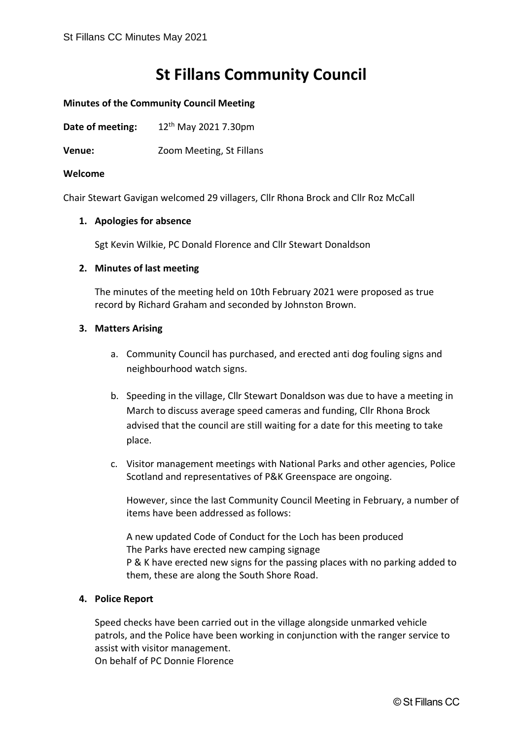# **St Fillans Community Council**

#### **Minutes of the Community Council Meeting**

**Date of meeting:** 12<sup>th</sup> May 2021 7.30pm

**Venue:** Zoom Meeting, St Fillans

#### **Welcome**

Chair Stewart Gavigan welcomed 29 villagers, Cllr Rhona Brock and Cllr Roz McCall

#### **1. Apologies for absence**

Sgt Kevin Wilkie, PC Donald Florence and Cllr Stewart Donaldson

#### **2. Minutes of last meeting**

The minutes of the meeting held on 10th February 2021 were proposed as true record by Richard Graham and seconded by Johnston Brown.

#### **3. Matters Arising**

- a. Community Council has purchased, and erected anti dog fouling signs and neighbourhood watch signs.
- b. Speeding in the village, Cllr Stewart Donaldson was due to have a meeting in March to discuss average speed cameras and funding, Cllr Rhona Brock advised that the council are still waiting for a date for this meeting to take place.
- c. Visitor management meetings with National Parks and other agencies, Police Scotland and representatives of P&K Greenspace are ongoing.

However, since the last Community Council Meeting in February, a number of items have been addressed as follows:

A new updated Code of Conduct for the Loch has been produced The Parks have erected new camping signage P & K have erected new signs for the passing places with no parking added to them, these are along the South Shore Road.

### **4. Police Report**

Speed checks have been carried out in the village alongside unmarked vehicle patrols, and the Police have been working in conjunction with the ranger service to assist with visitor management.

On behalf of PC Donnie Florence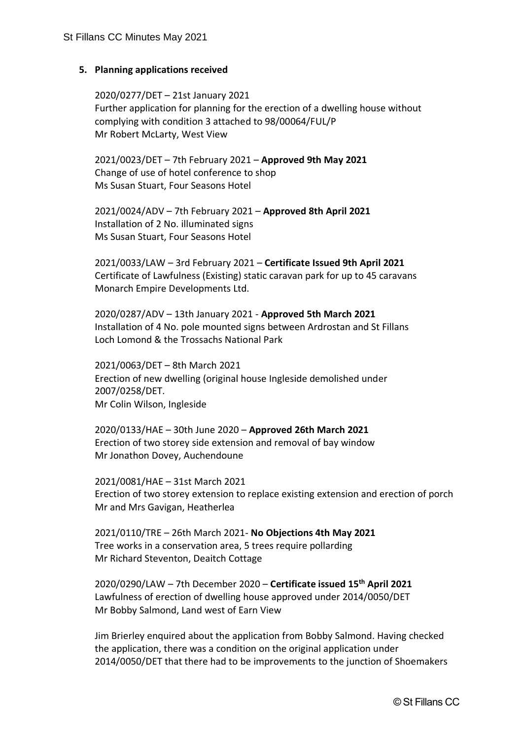### **5. Planning applications received**

2020/0277/DET – 21st January 2021 Further application for planning for the erection of a dwelling house without complying with condition 3 attached to 98/00064/FUL/P Mr Robert McLarty, West View

2021/0023/DET – 7th February 2021 – **Approved 9th May 2021** Change of use of hotel conference to shop Ms Susan Stuart, Four Seasons Hotel

2021/0024/ADV – 7th February 2021 – **Approved 8th April 2021** Installation of 2 No. illuminated signs Ms Susan Stuart, Four Seasons Hotel

2021/0033/LAW – 3rd February 2021 – **Certificate Issued 9th April 2021** Certificate of Lawfulness (Existing) static caravan park for up to 45 caravans Monarch Empire Developments Ltd.

2020/0287/ADV – 13th January 2021 - **Approved 5th March 2021** Installation of 4 No. pole mounted signs between Ardrostan and St Fillans Loch Lomond & the Trossachs National Park

2021/0063/DET – 8th March 2021 Erection of new dwelling (original house Ingleside demolished under 2007/0258/DET. Mr Colin Wilson, Ingleside

2020/0133/HAE – 30th June 2020 – **Approved 26th March 2021** Erection of two storey side extension and removal of bay window Mr Jonathon Dovey, Auchendoune

2021/0081/HAE – 31st March 2021 Erection of two storey extension to replace existing extension and erection of porch Mr and Mrs Gavigan, Heatherlea

2021/0110/TRE – 26th March 2021- **No Objections 4th May 2021** Tree works in a conservation area, 5 trees require pollarding Mr Richard Steventon, Deaitch Cottage

2020/0290/LAW – 7th December 2020 – **Certificate issued 15th April 2021** Lawfulness of erection of dwelling house approved under 2014/0050/DET Mr Bobby Salmond, Land west of Earn View

Jim Brierley enquired about the application from Bobby Salmond. Having checked the application, there was a condition on the original application under 2014/0050/DET that there had to be improvements to the junction of Shoemakers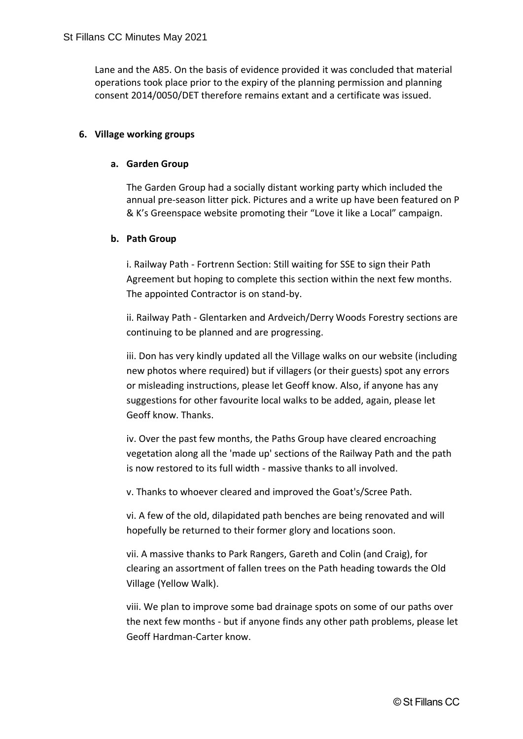Lane and the A85. On the basis of evidence provided it was concluded that material operations took place prior to the expiry of the planning permission and planning consent 2014/0050/DET therefore remains extant and a certificate was issued.

## **6. Village working groups**

### **a. Garden Group**

The Garden Group had a socially distant working party which included the annual pre-season litter pick. Pictures and a write up have been featured on P & K's Greenspace website promoting their "Love it like a Local" campaign.

## **b. Path Group**

i. Railway Path - Fortrenn Section: Still waiting for SSE to sign their Path Agreement but hoping to complete this section within the next few months. The appointed Contractor is on stand-by.

ii. Railway Path - Glentarken and Ardveich/Derry Woods Forestry sections are continuing to be planned and are progressing.

iii. Don has very kindly updated all the Village walks on our website (including new photos where required) but if villagers (or their guests) spot any errors or misleading instructions, please let Geoff know. Also, if anyone has any suggestions for other favourite local walks to be added, again, please let Geoff know. Thanks.

iv. Over the past few months, the Paths Group have cleared encroaching vegetation along all the 'made up' sections of the Railway Path and the path is now restored to its full width - massive thanks to all involved.

v. Thanks to whoever cleared and improved the Goat's/Scree Path.

vi. A few of the old, dilapidated path benches are being renovated and will hopefully be returned to their former glory and locations soon.

vii. A massive thanks to Park Rangers, Gareth and Colin (and Craig), for clearing an assortment of fallen trees on the Path heading towards the Old Village (Yellow Walk).

viii. We plan to improve some bad drainage spots on some of our paths over the next few months - but if anyone finds any other path problems, please let Geoff Hardman-Carter know.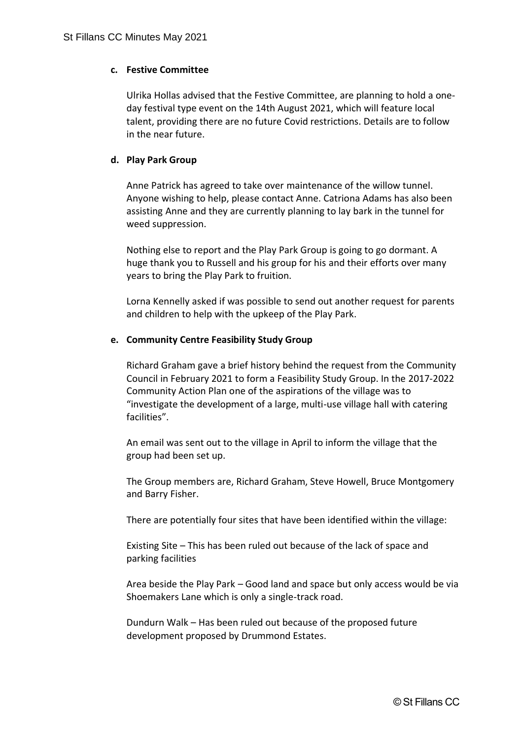## **c. Festive Committee**

Ulrika Hollas advised that the Festive Committee, are planning to hold a oneday festival type event on the 14th August 2021, which will feature local talent, providing there are no future Covid restrictions. Details are to follow in the near future.

## **d. Play Park Group**

Anne Patrick has agreed to take over maintenance of the willow tunnel. Anyone wishing to help, please contact Anne. Catriona Adams has also been assisting Anne and they are currently planning to lay bark in the tunnel for weed suppression.

Nothing else to report and the Play Park Group is going to go dormant. A huge thank you to Russell and his group for his and their efforts over many years to bring the Play Park to fruition.

Lorna Kennelly asked if was possible to send out another request for parents and children to help with the upkeep of the Play Park.

### **e. Community Centre Feasibility Study Group**

Richard Graham gave a brief history behind the request from the Community Council in February 2021 to form a Feasibility Study Group. In the 2017-2022 Community Action Plan one of the aspirations of the village was to "investigate the development of a large, multi-use village hall with catering facilities".

An email was sent out to the village in April to inform the village that the group had been set up.

The Group members are, Richard Graham, Steve Howell, Bruce Montgomery and Barry Fisher.

There are potentially four sites that have been identified within the village:

Existing Site – This has been ruled out because of the lack of space and parking facilities

Area beside the Play Park – Good land and space but only access would be via Shoemakers Lane which is only a single-track road.

Dundurn Walk – Has been ruled out because of the proposed future development proposed by Drummond Estates.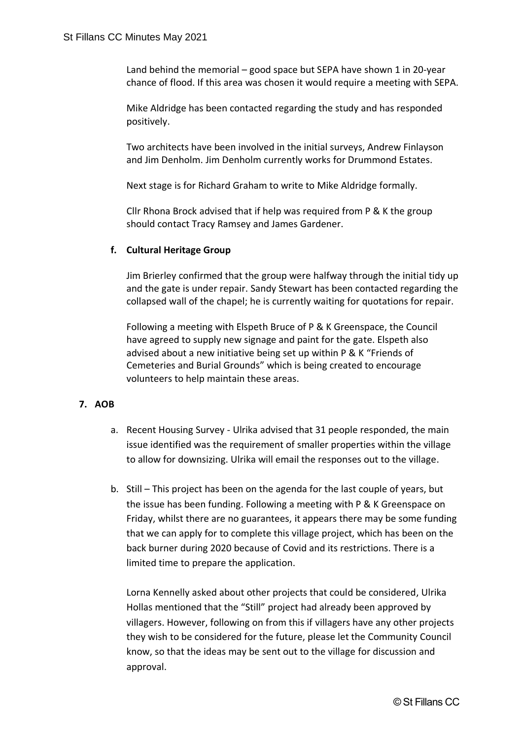Land behind the memorial – good space but SEPA have shown 1 in 20-year chance of flood. If this area was chosen it would require a meeting with SEPA.

Mike Aldridge has been contacted regarding the study and has responded positively.

Two architects have been involved in the initial surveys, Andrew Finlayson and Jim Denholm. Jim Denholm currently works for Drummond Estates.

Next stage is for Richard Graham to write to Mike Aldridge formally.

Cllr Rhona Brock advised that if help was required from P & K the group should contact Tracy Ramsey and James Gardener.

# **f. Cultural Heritage Group**

Jim Brierley confirmed that the group were halfway through the initial tidy up and the gate is under repair. Sandy Stewart has been contacted regarding the collapsed wall of the chapel; he is currently waiting for quotations for repair.

Following a meeting with Elspeth Bruce of P & K Greenspace, the Council have agreed to supply new signage and paint for the gate. Elspeth also advised about a new initiative being set up within P & K "Friends of Cemeteries and Burial Grounds" which is being created to encourage volunteers to help maintain these areas.

# **7. AOB**

- a. Recent Housing Survey Ulrika advised that 31 people responded, the main issue identified was the requirement of smaller properties within the village to allow for downsizing. Ulrika will email the responses out to the village.
- b. Still This project has been on the agenda for the last couple of years, but the issue has been funding. Following a meeting with P & K Greenspace on Friday, whilst there are no guarantees, it appears there may be some funding that we can apply for to complete this village project, which has been on the back burner during 2020 because of Covid and its restrictions. There is a limited time to prepare the application.

Lorna Kennelly asked about other projects that could be considered, Ulrika Hollas mentioned that the "Still" project had already been approved by villagers. However, following on from this if villagers have any other projects they wish to be considered for the future, please let the Community Council know, so that the ideas may be sent out to the village for discussion and approval.